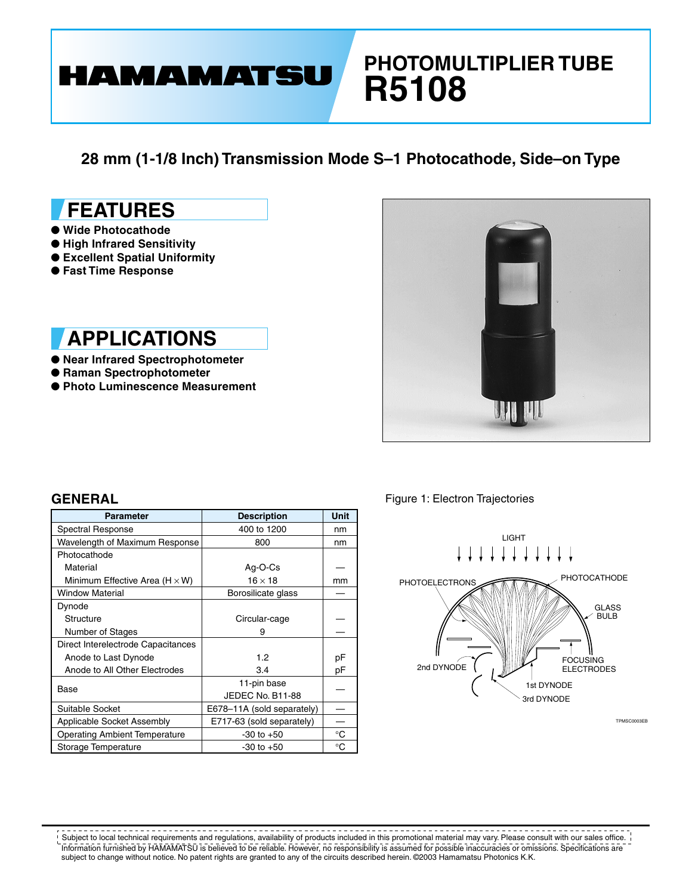# **PHOTOMULTIPLIER TUBE R5108**

**28 mm (1-1/8 Inch) Transmission Mode S–1 Photocathode, Side–on Type**

# **FEATURES**

- **Wide Photocathode**
- **High Infrared Sensitivity**

**HAMAMATSU** 

- **Excellent Spatial Uniformity**
- **Fast Time Response**

## **APPLICATIONS**

- **Near Infrared Spectrophotometer**
- **Raman Spectrophotometer**
- **Photo Luminescence Measurement**



| <b>Parameter</b>                      | <b>Description</b>         | <b>Unit</b> |  |
|---------------------------------------|----------------------------|-------------|--|
| Spectral Response                     | 400 to 1200                | nm          |  |
| Wavelength of Maximum Response        | 800                        | nm          |  |
| Photocathode                          |                            |             |  |
| Material                              | Ag-O-Cs                    |             |  |
| Minimum Effective Area (H $\times$ W) | $16 \times 18$             | mm          |  |
| <b>Window Material</b>                | Borosilicate glass         |             |  |
| Dynode                                |                            |             |  |
| Structure                             | Circular-cage              |             |  |
| Number of Stages                      | 9                          |             |  |
| Direct Interelectrode Capacitances    |                            |             |  |
| Anode to Last Dynode                  | 1.2                        | рF          |  |
| Anode to All Other Electrodes         | 3.4                        | рF          |  |
| Base                                  | 11-pin base                |             |  |
|                                       | JEDEC No. B11-88           |             |  |
| Suitable Socket                       | E678-11A (sold separately) |             |  |
| Applicable Socket Assembly            | E717-63 (sold separately)  |             |  |
| <b>Operating Ambient Temperature</b>  | $-30$ to $+50$             | °C          |  |
| Storage Temperature                   | $-30$ to $+50$             | °C          |  |

**GENERAL Figure 1: Electron Trajectories** 



<u> - - - - - - -</u>  $\frac{1}{2}$ . . . . . . .  $- - - - - - - - - - -$ Subject to local technical requirements and regulations, availability of products included in this promotional material may vary. Please consult with our sales office. Information furnished by HAMAMATSU is believed to be reliable. However, no responsibility is assumed for possible inaccuracies or omissions. Specifications are subject to change without notice. No patent rights are granted to any of the circuits described herein. ©2003 Hamamatsu Photonics K.K.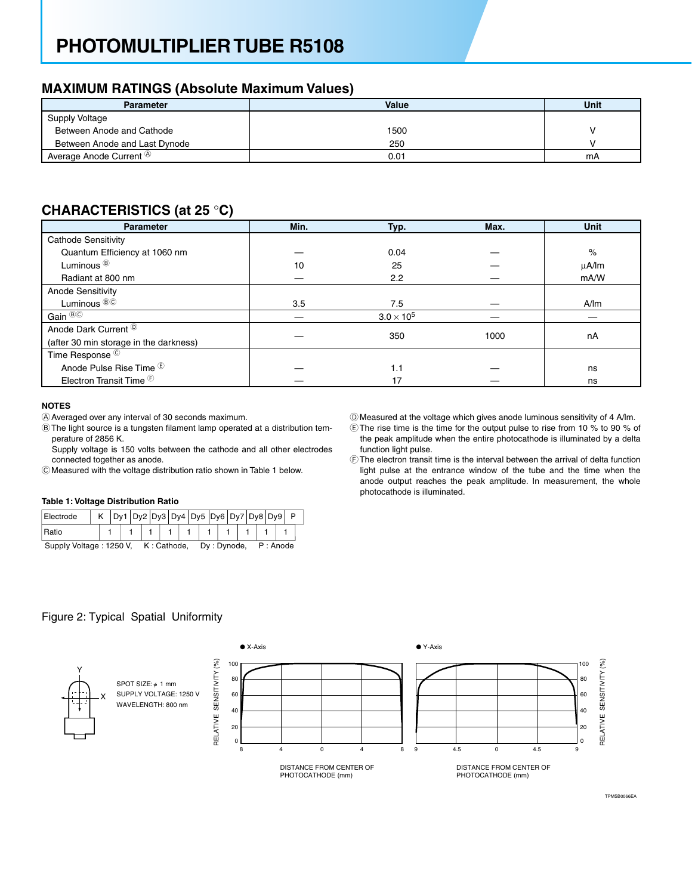# **PHOTOMULTIPLIER TUBE R5108**

### **MAXIMUM RATINGS (Absolute Maximum Values)**

| <b>Parameter</b>                     | Value | Unit |
|--------------------------------------|-------|------|
| <b>Supply Voltage</b>                |       |      |
| Between Anode and Cathode            | 1500  |      |
| Between Anode and Last Dynode        | 250   |      |
| Average Anode Current $^{\circledR}$ | 0.01  | mA   |

### **CHARACTERISTlCS (at 25** °**C)**

| <b>Parameter</b>                             | Min. | Typ.                | Max. | <b>Unit</b> |  |  |
|----------------------------------------------|------|---------------------|------|-------------|--|--|
| <b>Cathode Sensitivity</b>                   |      |                     |      |             |  |  |
| Quantum Efficiency at 1060 nm                |      | 0.04                |      | $\%$        |  |  |
| Luminous <sup>®</sup>                        | 10   | 25                  |      | $\mu$ A/Im  |  |  |
| Radiant at 800 nm                            |      | 2.2                 |      | mA/W        |  |  |
| Anode Sensitivity                            |      |                     |      |             |  |  |
| Luminous <sup>®©</sup>                       | 3.5  | 7.5                 |      | A/m         |  |  |
| Gain <sup>®©</sup>                           |      | $3.0 \times 10^{5}$ |      |             |  |  |
| Anode Dark Current <sup><sup>(D)</sup></sup> |      | 350                 | 1000 | nA          |  |  |
| (after 30 min storage in the darkness)       |      |                     |      |             |  |  |
| Time Response <sup>©</sup>                   |      |                     |      |             |  |  |
| Anode Pulse Rise Time <sup>®</sup>           |      | 1.1                 |      | ns          |  |  |
| Electron Transit Time <sup>(6)</sup>         |      | 17                  |      | ns          |  |  |

#### **NOTES**

AAveraged over any interval of 30 seconds maximum.

BThe light source is a tungsten filament lamp operated at a distribution temperature of 2856 K.

Supply voltage is 150 volts between the cathode and all other electrodes connected together as anode.

CMeasured with the voltage distribution ratio shown in Table 1 below.

#### **Table 1: Voltage Distribution Ratio**

| Electrode                           |  |  |  |  | Dy1   Dy2   Dy3   Dy4   Dy5   Dy6   Dy7   Dy8   Dy9   P |  |  |  |  |             |  |  |  |  |  |          |  |  |  |  |
|-------------------------------------|--|--|--|--|---------------------------------------------------------|--|--|--|--|-------------|--|--|--|--|--|----------|--|--|--|--|
| Ratio                               |  |  |  |  |                                                         |  |  |  |  |             |  |  |  |  |  |          |  |  |  |  |
| Supply Voltage: 1250 V. K: Cathode, |  |  |  |  |                                                         |  |  |  |  | Dy: Dynode, |  |  |  |  |  | P: Anode |  |  |  |  |

- DMeasured at the voltage which gives anode luminous sensitivity of 4 A/lm.
- EThe rise time is the time for the output pulse to rise from 10 % to 90 % of the peak amplitude when the entire photocathode is illuminated by a delta function light pulse.
- FThe electron transit time is the interval between the arrival of delta function light pulse at the entrance window of the tube and the time when the anode output reaches the peak amplitude. In measurement, the whole photocathode is illuminated.

TPMSB0066EA

### Figure 2: Typical Spatial Uniformity

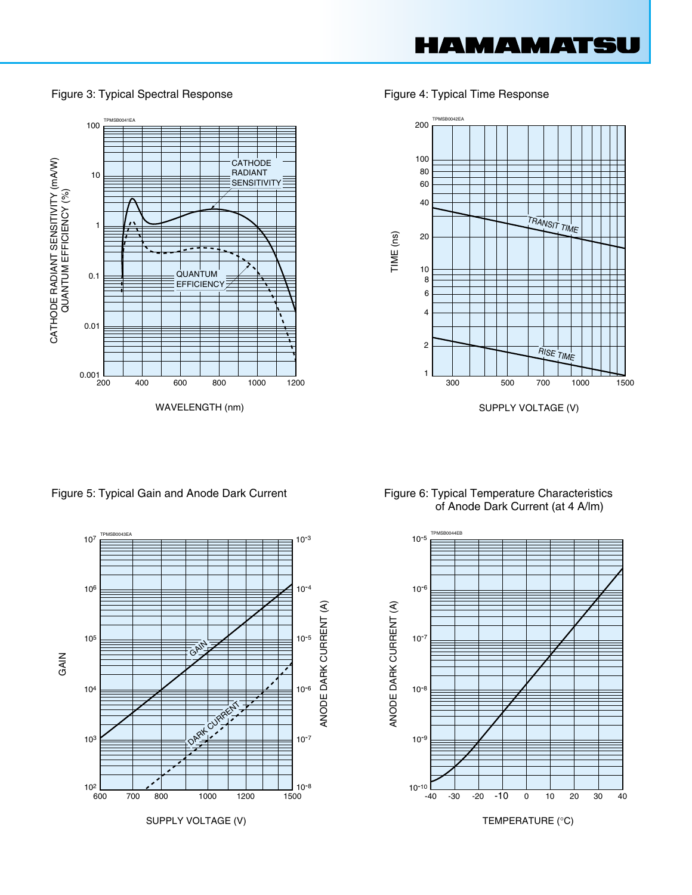

Figure 3: Typical Spectral Response Figure 4: Typical Time Response



SUPPLY VOLTAGE (V)



Figure 5: Typical Gain and Anode Dark Current Figure 6: Typical Temperature Characteristics of Anode Dark Current (at 4 A/lm)



200